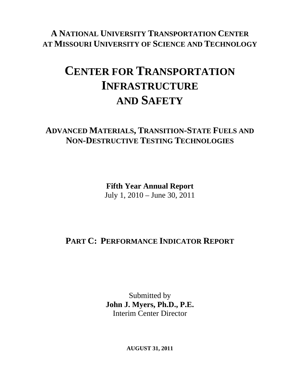**A NATIONAL UNIVERSITY TRANSPORTATION CENTER AT MISSOURI UNIVERSITY OF SCIENCE AND TECHNOLOGY**

# **CENTER FOR TRANSPORTATION INFRASTRUCTURE AND SAFETY**

### **ADVANCED MATERIALS, TRANSITION-STATE FUELS AND NON-DESTRUCTIVE TESTING TECHNOLOGIES**

**Fifth Year Annual Report**  July 1, 2010 – June 30, 2011

# **PART C: PERFORMANCE INDICATOR REPORT**

Submitted by **John J. Myers, Ph.D., P.E.**  Interim Center Director

**AUGUST 31, 2011**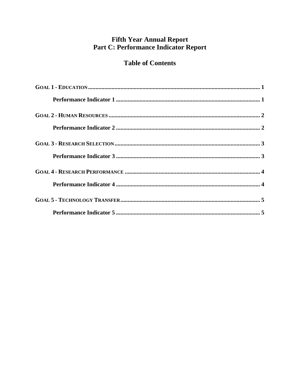### **Fifth Year Annual Report** Part C: Performance Indicator Report

### **Table of Contents**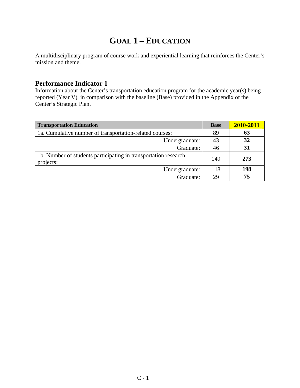# **GOAL 1 – EDUCATION**

A multidisciplinary program of course work and experiential learning that reinforces the Center's mission and theme.

#### **Performance Indicator 1**

Information about the Center's transportation education program for the academic year(s) being reported (Year V), in comparison with the baseline (Base) provided in the Appendix of the Center's Strategic Plan.

| <b>Transportation Education</b>                                              | <b>Base</b> | 2010-2011 |
|------------------------------------------------------------------------------|-------------|-----------|
| 1a. Cumulative number of transportation-related courses:                     | 89          | 63        |
| Undergraduate:                                                               | 43          | 32        |
| Graduate:                                                                    | 46          | 31        |
| 1b. Number of students participating in transportation research<br>projects: | 149         | 273       |
| Undergraduate:                                                               | 118         | 198       |
| Graduate:                                                                    | 29          | 75        |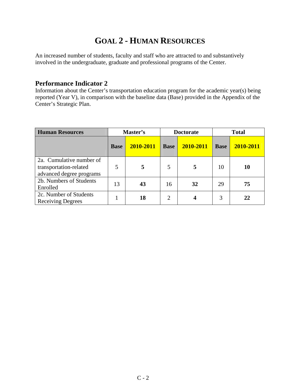# **GOAL 2 - HUMAN RESOURCES**

An increased number of students, faculty and staff who are attracted to and substantively involved in the undergraduate, graduate and professional programs of the Center.

#### **Performance Indicator 2**

Information about the Center's transportation education program for the academic year(s) being reported (Year V), in comparison with the baseline data (Base) provided in the Appendix of the Center's Strategic Plan.

| <b>Human Resources</b>                                                         | Master's    |           | <b>Doctorate</b> |           |             | <b>Total</b> |
|--------------------------------------------------------------------------------|-------------|-----------|------------------|-----------|-------------|--------------|
|                                                                                | <b>Base</b> | 2010-2011 | <b>Base</b>      | 2010-2011 | <b>Base</b> | 2010-2011    |
| 2a. Cumulative number of<br>transportation-related<br>advanced degree programs | 5           |           | 5                | 5         | 10          | 10           |
| 2b. Numbers of Students<br>Enrolled                                            | 13          | 43        | 16               | 32        | 29          | 75           |
| 2c. Number of Students<br><b>Receiving Degrees</b>                             |             | 18        | $\overline{2}$   |           | 3           | 22           |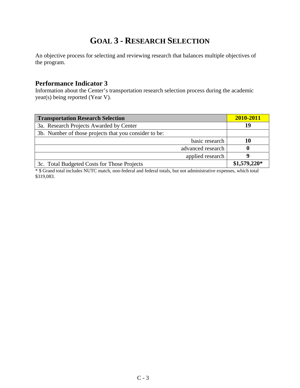# **GOAL 3 - RESEARCH SELECTION**

An objective process for selecting and reviewing research that balances multiple objectives of the program.

#### **Performance Indicator 3**

Information about the Center's transportation research selection process during the academic year(s) being reported (Year V).

| <b>Transportation Research Selection</b>              | 2010-2011     |
|-------------------------------------------------------|---------------|
| 3a. Research Projects Awarded by Center               | 19            |
| 3b. Number of those projects that you consider to be: |               |
| basic research                                        | 10            |
| advanced research                                     |               |
| applied research                                      |               |
| 3c. Total Budgeted Costs for Those Projects           | $$1,579,220*$ |

\* \$ Grand total includes NUTC match, non-federal and federal totals, but not administrative expenses, which total \$319,083.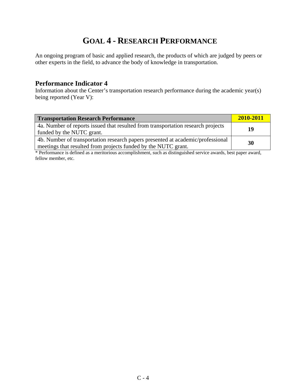# **GOAL 4 - RESEARCH PERFORMANCE**

An ongoing program of basic and applied research, the products of which are judged by peers or other experts in the field, to advance the body of knowledge in transportation.

#### **Performance Indicator 4**

Information about the Center's transportation research performance during the academic year(s) being reported (Year V):

| <b>Transportation Research Performance</b>                                                                                                        | 2010-2011 |
|---------------------------------------------------------------------------------------------------------------------------------------------------|-----------|
| 4a. Number of reports issued that resulted from transportation research projects<br>funded by the NUTC grant.                                     | 19        |
| 4b. Number of transportation research papers presented at academic/professional<br>meetings that resulted from projects funded by the NUTC grant. | 30        |

\* Performance is defined as a meritorious accomplishment, such as distinguished service awards, best paper award, fellow member, etc.